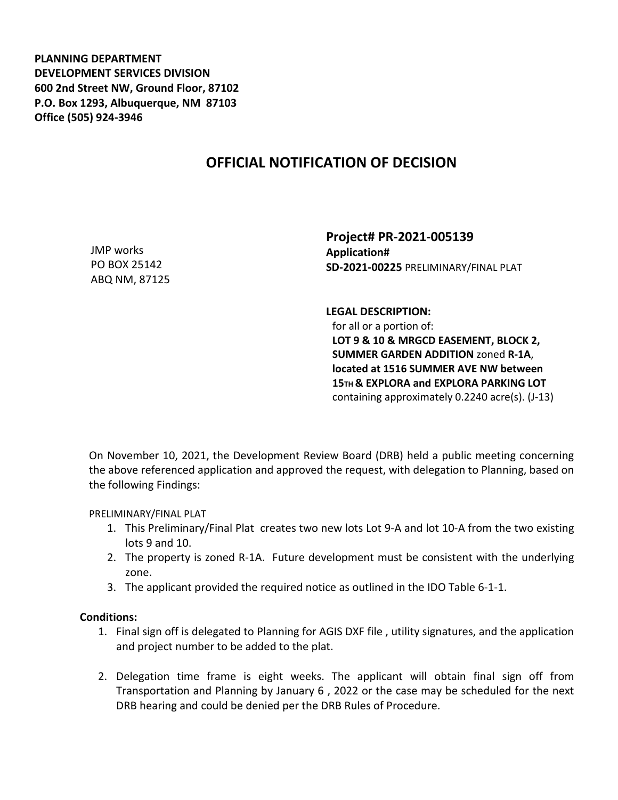**PLANNING DEPARTMENT DEVELOPMENT SERVICES DIVISION 600 2nd Street NW, Ground Floor, 87102 P.O. Box 1293, Albuquerque, NM 87103 Office (505) 924-3946** 

## **OFFICIAL NOTIFICATION OF DECISION**

JMP works PO BOX 25142 ABQ NM, 87125 **Project# PR-2021-005139 Application# SD-2021-00225** PRELIMINARY/FINAL PLAT

**LEGAL DESCRIPTION:**

for all or a portion of: **LOT 9 & 10 & MRGCD EASEMENT, BLOCK 2, SUMMER GARDEN ADDITION** zoned **R-1A**, **located at 1516 SUMMER AVE NW between 15TH & EXPLORA and EXPLORA PARKING LOT**  containing approximately 0.2240 acre(s). (J-13)

On November 10, 2021, the Development Review Board (DRB) held a public meeting concerning the above referenced application and approved the request, with delegation to Planning, based on the following Findings:

PRELIMINARY/FINAL PLAT

- 1. This Preliminary/Final Plat creates two new lots Lot 9-A and lot 10-A from the two existing lots 9 and 10.
- 2. The property is zoned R-1A. Future development must be consistent with the underlying zone.
- 3. The applicant provided the required notice as outlined in the IDO Table 6-1-1.

## **Conditions:**

- 1. Final sign off is delegated to Planning for AGIS DXF file , utility signatures, and the application and project number to be added to the plat.
- 2. Delegation time frame is eight weeks. The applicant will obtain final sign off from Transportation and Planning by January 6 , 2022 or the case may be scheduled for the next DRB hearing and could be denied per the DRB Rules of Procedure.